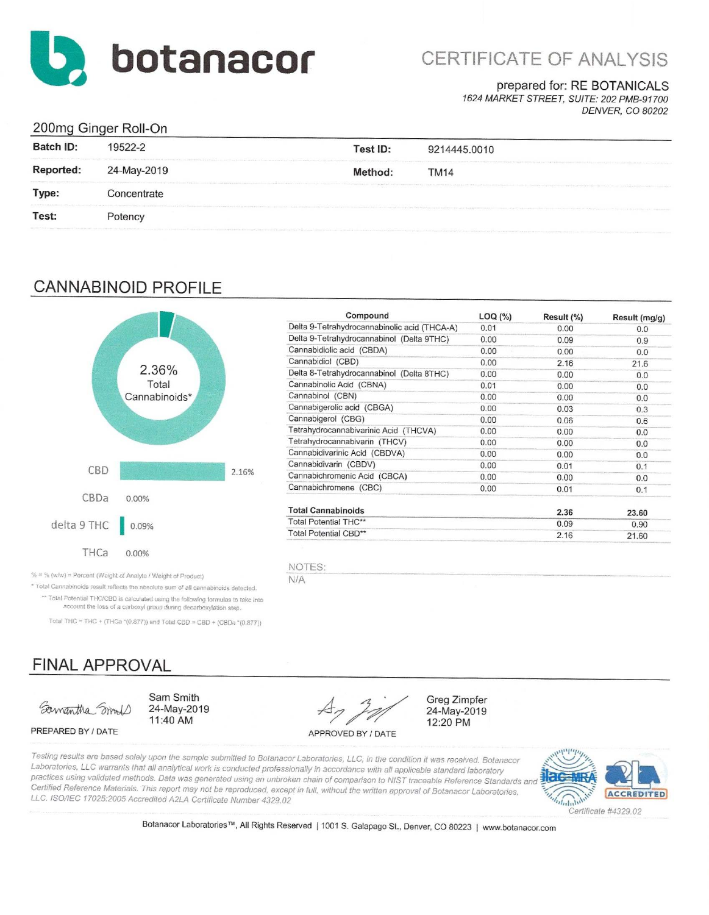

# CERTIFICATE OF ANALYSIS

prepared for: RE BOTANICALS

1624 MARKET STREET, SUITE: 202 PMB-91700 **DENVER, CO 80202** 

## 200mg Ginger Roll-On

| Batch ID: | 19522-2                                                                                                                                                                                             | Test ID:                                                                                                                                                                                                                       | 9214445.0010                                                                                                                                                                                                                           |
|-----------|-----------------------------------------------------------------------------------------------------------------------------------------------------------------------------------------------------|--------------------------------------------------------------------------------------------------------------------------------------------------------------------------------------------------------------------------------|----------------------------------------------------------------------------------------------------------------------------------------------------------------------------------------------------------------------------------------|
| Reported: | hadn't but my service to take the end of the experimental control percent and construction to be the control of the construction of the construction of the construction of the con-<br>24-May-2019 | Method:                                                                                                                                                                                                                        | service and the metric because it is a constitution in the field of the service of the computation of the computation of the computation of the constitution of the constitution of the constitution of the constitution of th<br>TM14 |
| Type:     | Concentrate                                                                                                                                                                                         |                                                                                                                                                                                                                                | incommutations in interest in the contribution of the contribution of the contribution of the contribution of the contribution of the contribution of the section and the contribution of the contribution of the contribution         |
| Test:     | Potency                                                                                                                                                                                             | the series of the company's result of the series of the company of the company of the series of the company of the company of the company of the company of the company of the company of the company of the company of the co | THE RESIDENCE OF A REPORT OF THE RESIDENCE OF A RESIDENCE OF THE CONTRACTOR OF THE CONTRACTOR CONTRACTOR CONTRACTOR CONTRACTOR CONTRACTOR CONTRACTOR CONTRACTOR CONTRACTOR                                                             |

## **CANNABINOID PROFILE**



| Compound                                     | LOG (%) | Result (%) | Result (mg/g) |
|----------------------------------------------|---------|------------|---------------|
| Delta 9-Tetrahydrocannabinolic acid (THCA-A) | 0.01    | 0.00       | 0.0           |
| Delta 9-Tetrahydrocannabinol (Delta 9THC)    | 0.00    | 0.09       | 0.9           |
| Cannabidiolic acid (CBDA)                    | 0.00    | 0.00       | 0.0           |
| Cannabidiol (CBD)                            | 0.00    | 2.16       | 21.6          |
| Delta 8-Tetrahydrocannabinol (Delta 8THC)    | 0.00    | 0.00       | 0.0           |
| Cannabinolic Acid (CBNA)                     | 0.01    | 0.00       | 0.0           |
| Cannabinol (CBN)                             | 0.00    | 0.00       | 0.0           |
| Cannabigerolic acid (CBGA)                   | 0.00    | 0.03       | 0.3           |
| Cannabigerol (CBG)                           | 0.00    | 0.06       | 0.6           |
| Tetrahydrocannabivarinic Acid (THCVA)        | 0.00    | 0.00       | 0.0           |
| Tetrahydrocannabivarin (THCV)                | 0.00    | 0.00       | 0.0           |
| Cannabidivarinic Acid (CBDVA)                | 0.00    | 0.00       | 0.0           |
| Cannabidivarin (CBDV)                        | 0.00    | 0.01       | 0.1           |
| Cannabichromenic Acid (CBCA)                 | 0.00    | 0.00       | 0.0           |
| Cannabichromene (CBC)                        | 0.00    | 0.01       | 0.1           |
| <b>Total Cannabinoids</b>                    |         | 2.36       | 23.60         |
| Total Potential THC**                        |         | 0.09       | 0.90          |
| Total Potential CBD**                        |         | 2.16       | 21.60         |

Greg Zimpfer

24-May-2019

12:20 PM

NOTES:

N/A

% = % (w/w) = Percent (Weight of Analyte / Weight of Product)

\* Total Cannabinoids result reflects the absolute sum of all cannabinoids detected. \*\* Total Potential THC/CBD is calculated using the following formulas to take into account the loss of a carboxyl group during decarboxylation step.

Total THC = THC + (THCa \*(0.877)) and Total CBD = CBD + (CBDa \*(0.877))

## **FINAL APPROVAL**

Samantha Smile

PREPARED BY / DATE

Sam Smith 24-May-2019 11:40 AM

APPROVED BY / DATE

Testing results are based solely upon the sample submitted to Botanacor Laboratories, LLC, in the condition it was received. Botanacor Laboratories, LLC warrants that all analytical work is conducted professionally in accordance with all applicable standard laboratory practices using validated methods. Data was generated using an unbroken chain of comparison to NIST traceable Reference Standards and Certified Reference Materials. This report may not be reproduced, except in full, without the written approval of Botanacor Laboratories, LLC. ISO/IEC 17025:2005 Accredited A2LA Certificate Number 4329.02



Botanacor Laboratories™, All Rights Reserved | 1001 S. Galapago St., Denver, CO 80223 | www.botanacor.com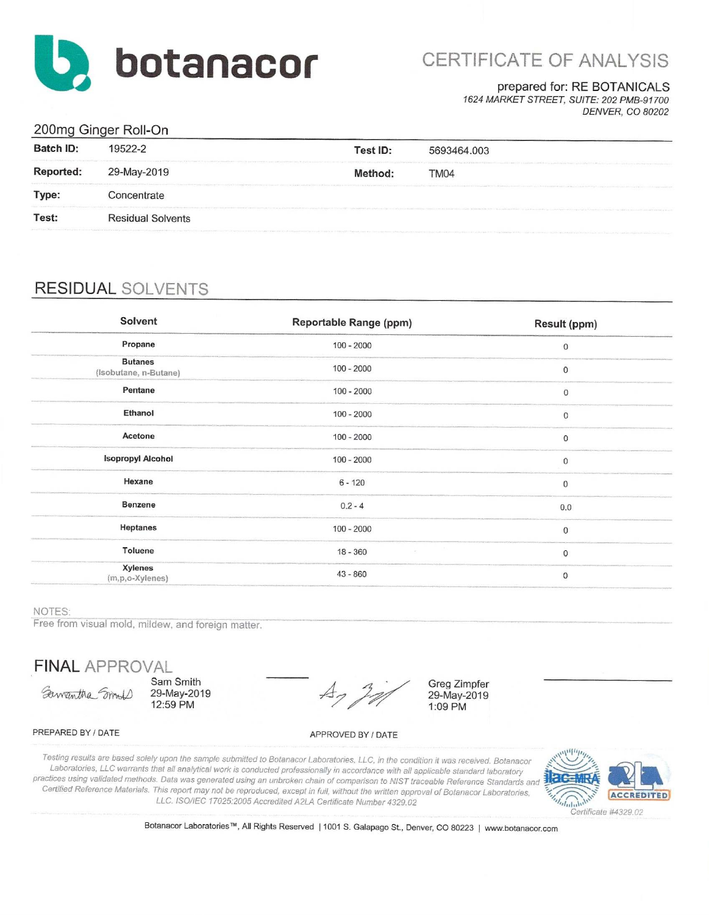

# CERTIFICATE OF ANALYSIS

#### prepared for: RE BOTANICALS

1624 MARKET STREET, SUITE: 202 PMB-91700 **DENVER, CO 80202** 

## 200mg Ginger Roll-On

| 19522-2                                                                                                                                                                                                                                                    | Test ID: | 5693464.003                                                                                                                                                                                                                           |                                                                                                                                                                                                                                                                                                                                                                                                                                                                 |
|------------------------------------------------------------------------------------------------------------------------------------------------------------------------------------------------------------------------------------------------------------|----------|---------------------------------------------------------------------------------------------------------------------------------------------------------------------------------------------------------------------------------------|-----------------------------------------------------------------------------------------------------------------------------------------------------------------------------------------------------------------------------------------------------------------------------------------------------------------------------------------------------------------------------------------------------------------------------------------------------------------|
| 29-May-2019                                                                                                                                                                                                                                                | Method:  | In a state with problem of a control of the company of the state of the company of the company of the company of the company of the company of the company of the company of the company of the company of the company of the<br>TM04 |                                                                                                                                                                                                                                                                                                                                                                                                                                                                 |
| Concentrate                                                                                                                                                                                                                                                |          |                                                                                                                                                                                                                                       |                                                                                                                                                                                                                                                                                                                                                                                                                                                                 |
| and the first control of the control of the control of the control of the control of the control of the control of the control of the control of the control of the control of the control of the control of the control of th<br><b>Residual Solvents</b> |          |                                                                                                                                                                                                                                       |                                                                                                                                                                                                                                                                                                                                                                                                                                                                 |
|                                                                                                                                                                                                                                                            |          |                                                                                                                                                                                                                                       | The contraction of the contract of the second interest of the contract of the contract of the contract of the contract of the contract of the contract of the contract of the contract of the contract of the contract of the<br>or advertised in consideration of the effective contractor of production and the complete the production of the second term of the second term of the second term and the complete of the second contract of the complete of t |

## **RESIDUAL SOLVENTS**

| Solvent                                 | Reportable Range (ppm) | <b>Result (ppm)</b> |
|-----------------------------------------|------------------------|---------------------|
| Propane                                 | $100 - 2000$           | $\bf{0}$            |
| <b>Butanes</b><br>(Isobutane, n-Butane) | $100 - 2000$           | $\mathbf 0$         |
| Pentane                                 | $100 - 2000$           | $\boldsymbol{0}$    |
| Ethanol                                 | $100 - 2000$           | 0                   |
| Acetone                                 | $100 - 2000$           | 0                   |
| <b>Isopropyl Alcohol</b>                | $100 - 2000$           | $\bf 0$             |
| Hexane                                  | $6 - 120$              | 0                   |
| Benzene                                 | $0.2 - 4$              | 0.0                 |
| Heptanes                                | $100 - 2000$           | $\mathbf 0$         |
| Toluene                                 | 18 - 360               | $\mathbf 0$         |
| Xylenes<br>(m,p,o-Xylenes)              | $43 - 860$             | $\,0\,$             |

#### NOTES:

Free from visual mold, mildew, and foreign matter.

**FINAL APPROVAL** 

Samantha Smoll

Sam Smith 29-May-2019 12:59 PM

 $\nexists$ 

**Greg Zimpfer** 29-May-2019 1:09 PM

#### PREPARED BY / DATE

APPROVED BY / DATE

Testing results are based solely upon the sample submitted to Botanacor Laboratories, LLC, in the condition it was received. Botanacor Laboratories, LLC warrants that all analytical work is conducted professionally in accordance with all applicable standard laboratory practices using validated methods. Data was generated using an unbroken chain of comparison to NIST traceable Reference Standards and Certified Reference Materials. This report may not be reproduced, except in full, without the written approval of Botanacor Laboratories, LLC. ISO/IEC 17025:2005 Accredited A2LA Certificate Number 4329.02



Botanacor Laboratories™, All Rights Reserved | 1001 S. Galapago St., Denver, CO 80223 | www.botanacor.com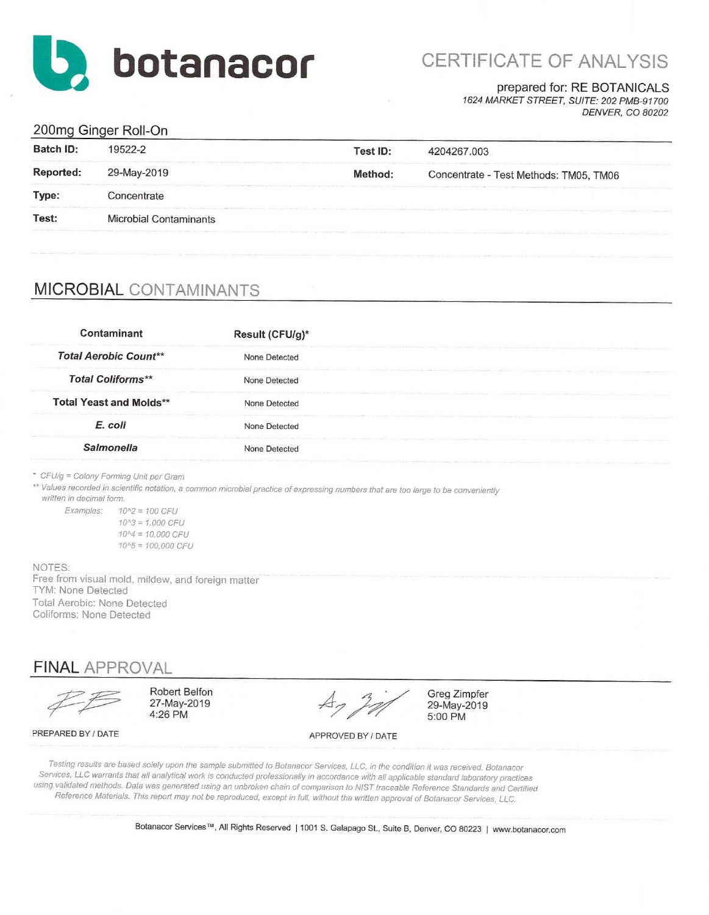

# CERTIFICATE OF ANALYSIS

### prepared for: RE BOTANICALS

1624 MARKET STREET, SUITE: 202 PMB-91700 DENVER, CO 80202

## 200mg Ginger Roll-On

| Batch ID: | 19522-2                                                                                                                    | Test ID: | 4204267.003                                                                                                                                                                                                      |
|-----------|----------------------------------------------------------------------------------------------------------------------------|----------|------------------------------------------------------------------------------------------------------------------------------------------------------------------------------------------------------------------|
| Reported: | Warrent to be provided, which is the second of a guess of the fundamental discussion of a state of the con-<br>29-May-2019 | Method:  | Concentrate - Test Methods: TM05, TM06                                                                                                                                                                           |
| Type:     | Concentrate                                                                                                                |          | Company of the Company of States and States and States and States and States and States and States                                                                                                               |
| Test:     | Microbial Contaminants                                                                                                     |          | EXPERIMENTATION CONTINUES INTO A REPORT OF THE PROPERTY OF CONTINUES INTO A REPORT OF THE CONTINUES INTO A REPORT OF THE CONTINUES INTO A REPORT OF THE CONTINUES. THE CONTINUES INTO A REPORT OF THE CONTINUES. |

## **MICROBIAL CONTAMINANTS**

| Contaminant                    | Result (CFU/g)* |  |
|--------------------------------|-----------------|--|
| <b>Total Aerobic Count**</b>   | None Detected   |  |
| <b>Total Coliforms**</b>       | None Detected   |  |
| <b>Total Yeast and Molds**</b> | None Detected   |  |
| E. coli                        | None Detected   |  |
| <b>Salmonella</b>              | None Detected   |  |

\* CFU/g = Colony Forming Unit per Gram

\*\* Values recorded in scientific notation, a common microbial practice of expressing numbers that are too large to be conveniently

written in decimal form.

Examples:  $10^2 = 100$  CFU  $10^{4}3 = 1.000$  CFU  $10^{4} = 10,000$  CFU  $10^{4}5 = 100,000$  CFU

NOTES: Free from visual mold, mildew, and foreign matter TYM: None Detected Total Aerobic: None Detected Coliforms: None Detected

## **FINAL APPROVAL**

Robert Belfon 27-May-2019 4:26 PM

 $A_7$ 

Greg Zimpfer 29-May-2019 5:00 PM

PREPARED BY / DATE

APPROVED BY / DATE

Testing results are based solely upon the sample submitted to Botanacor Services, LLC, in the condition it was received. Botanacor Services, LLC warrants that all analytical work is conducted professionally in accordance with all applicable standard laboratory practices using validated methods. Data was generated using an unbroken chain of comparison to NIST traceable Reference Standards and Certified Reference Materials. This report may not be reproduced, except in full, without the written approval of Botanacor Services, LLC.

Botanacor Services™, All Rights Reserved | 1001 S. Galapago St., Suite B, Denver, CO 80223 | www.botanacor.com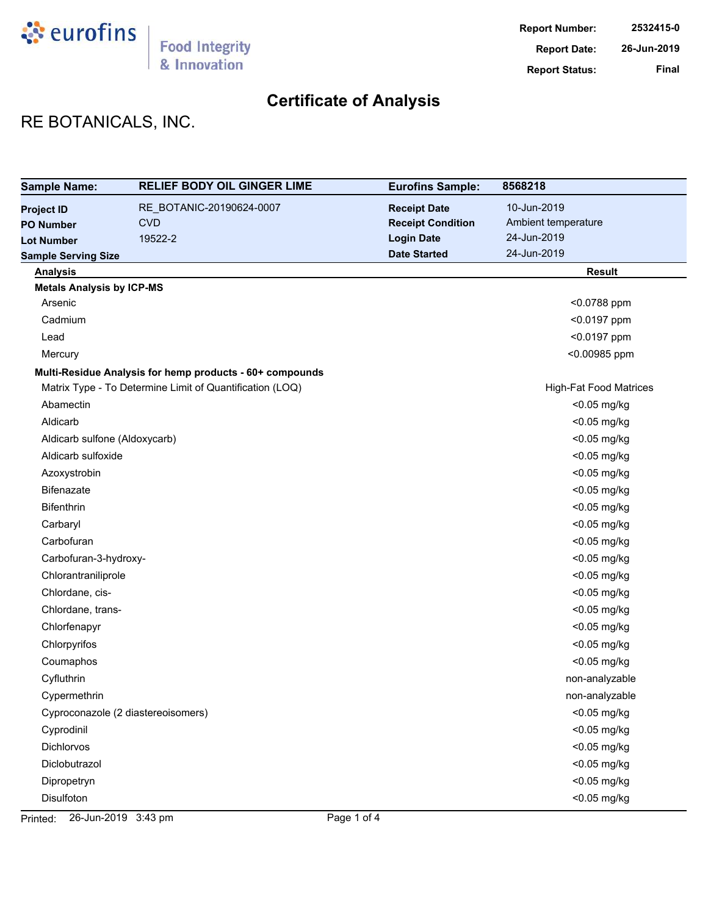

# RE BOTANICALS, INC.

| <b>Sample Name:</b>              | <b>RELIEF BODY OIL GINGER LIME</b>                       | <b>Eurofins Sample:</b>  | 8568218                       |
|----------------------------------|----------------------------------------------------------|--------------------------|-------------------------------|
| <b>Project ID</b>                | RE_BOTANIC-20190624-0007                                 | <b>Receipt Date</b>      | 10-Jun-2019                   |
| <b>PO Number</b>                 | <b>CVD</b>                                               | <b>Receipt Condition</b> | Ambient temperature           |
| <b>Lot Number</b>                | 19522-2                                                  | <b>Login Date</b>        | 24-Jun-2019                   |
| <b>Sample Serving Size</b>       |                                                          | <b>Date Started</b>      | 24-Jun-2019                   |
| <b>Analysis</b>                  |                                                          |                          | <b>Result</b>                 |
| <b>Metals Analysis by ICP-MS</b> |                                                          |                          |                               |
| Arsenic                          |                                                          |                          | <0.0788 ppm                   |
| Cadmium                          |                                                          |                          | <0.0197 ppm                   |
| Lead                             |                                                          |                          | <0.0197 ppm                   |
| Mercury                          |                                                          |                          | <0.00985 ppm                  |
|                                  | Multi-Residue Analysis for hemp products - 60+ compounds |                          |                               |
|                                  | Matrix Type - To Determine Limit of Quantification (LOQ) |                          | <b>High-Fat Food Matrices</b> |
| Abamectin                        |                                                          |                          | <0.05 mg/kg                   |
| Aldicarb                         |                                                          |                          | <0.05 mg/kg                   |
| Aldicarb sulfone (Aldoxycarb)    |                                                          |                          | <0.05 mg/kg                   |
| Aldicarb sulfoxide               |                                                          |                          | <0.05 mg/kg                   |
| Azoxystrobin                     |                                                          |                          | <0.05 mg/kg                   |
| <b>Bifenazate</b>                |                                                          |                          | <0.05 mg/kg                   |
| <b>Bifenthrin</b>                |                                                          |                          | <0.05 mg/kg                   |
| Carbaryl                         |                                                          |                          | <0.05 mg/kg                   |
| Carbofuran                       |                                                          |                          | <0.05 mg/kg                   |
| Carbofuran-3-hydroxy-            |                                                          |                          | <0.05 mg/kg                   |
| Chlorantraniliprole              |                                                          |                          | <0.05 mg/kg                   |
| Chlordane, cis-                  |                                                          |                          | <0.05 mg/kg                   |
| Chlordane, trans-                |                                                          |                          | <0.05 mg/kg                   |
| Chlorfenapyr                     |                                                          |                          | <0.05 mg/kg                   |
| Chlorpyrifos                     |                                                          |                          | <0.05 mg/kg                   |
| Coumaphos                        |                                                          |                          | <0.05 mg/kg                   |
| Cyfluthrin                       |                                                          |                          | non-analyzable                |
| Cypermethrin                     |                                                          |                          | non-analyzable                |
|                                  | Cyproconazole (2 diastereoisomers)                       |                          | $<$ 0.05 mg/kg                |
| Cyprodinil                       |                                                          |                          | <0.05 mg/kg                   |
| Dichlorvos                       |                                                          |                          | <0.05 mg/kg                   |
| Diclobutrazol                    |                                                          |                          | <0.05 mg/kg                   |
| Dipropetryn                      |                                                          |                          | <0.05 mg/kg                   |
| Disulfoton                       |                                                          |                          | <0.05 mg/kg                   |

Printed: 26-Jun-2019 3:43 pm Page 1 of 4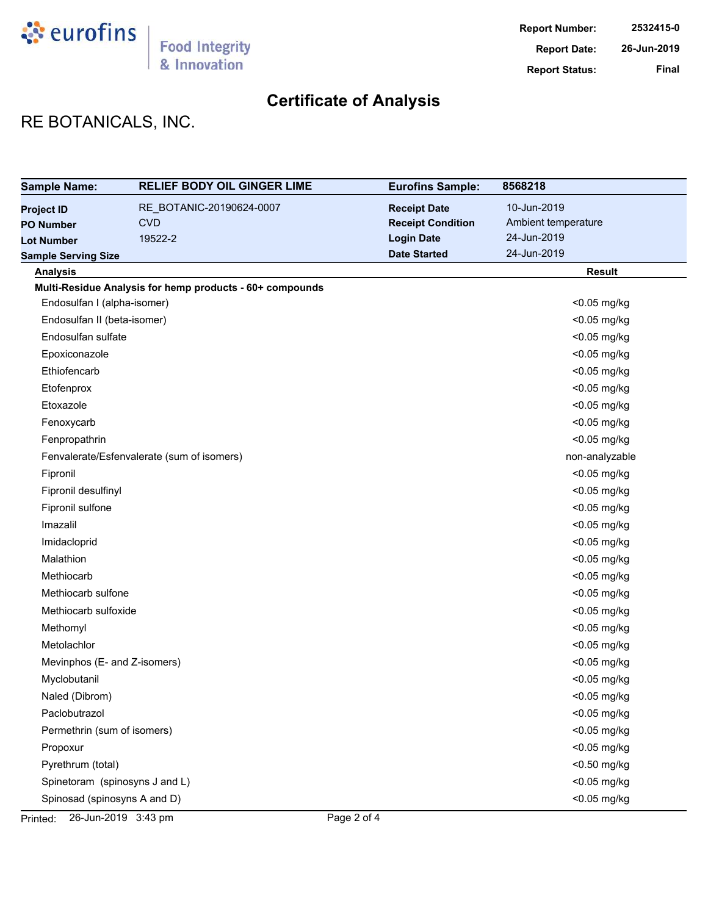

# RE BOTANICALS, INC.

| <b>Sample Name:</b>            | <b>RELIEF BODY OIL GINGER LIME</b>                       | <b>Eurofins Sample:</b>  | 8568218             |
|--------------------------------|----------------------------------------------------------|--------------------------|---------------------|
| <b>Project ID</b>              | RE BOTANIC-20190624-0007                                 | <b>Receipt Date</b>      | 10-Jun-2019         |
| <b>PO Number</b>               | <b>CVD</b>                                               | <b>Receipt Condition</b> | Ambient temperature |
| <b>Lot Number</b>              | 19522-2                                                  | <b>Login Date</b>        | 24-Jun-2019         |
| <b>Sample Serving Size</b>     |                                                          | <b>Date Started</b>      | 24-Jun-2019         |
| <b>Analysis</b>                |                                                          |                          | <b>Result</b>       |
|                                | Multi-Residue Analysis for hemp products - 60+ compounds |                          |                     |
| Endosulfan I (alpha-isomer)    |                                                          |                          | <0.05 mg/kg         |
| Endosulfan II (beta-isomer)    |                                                          |                          | <0.05 mg/kg         |
| Endosulfan sulfate             |                                                          |                          | <0.05 mg/kg         |
| Epoxiconazole                  |                                                          |                          | <0.05 mg/kg         |
| Ethiofencarb                   |                                                          |                          | <0.05 mg/kg         |
| Etofenprox                     |                                                          |                          | <0.05 mg/kg         |
| Etoxazole                      |                                                          |                          | <0.05 mg/kg         |
| Fenoxycarb                     |                                                          |                          | <0.05 mg/kg         |
| Fenpropathrin                  |                                                          |                          | <0.05 mg/kg         |
|                                | Fenvalerate/Esfenvalerate (sum of isomers)               |                          | non-analyzable      |
| Fipronil                       |                                                          |                          | <0.05 mg/kg         |
| Fipronil desulfinyl            |                                                          |                          | <0.05 mg/kg         |
| Fipronil sulfone               |                                                          |                          | <0.05 mg/kg         |
| Imazalil                       |                                                          |                          | <0.05 mg/kg         |
| Imidacloprid                   |                                                          |                          | <0.05 mg/kg         |
| Malathion                      |                                                          |                          | <0.05 mg/kg         |
| Methiocarb                     |                                                          |                          | <0.05 mg/kg         |
| Methiocarb sulfone             |                                                          |                          | <0.05 mg/kg         |
| Methiocarb sulfoxide           |                                                          |                          | <0.05 mg/kg         |
| Methomyl                       |                                                          |                          | <0.05 mg/kg         |
| Metolachlor                    |                                                          |                          | <0.05 mg/kg         |
| Mevinphos (E- and Z-isomers)   |                                                          |                          | <0.05 mg/kg         |
| Myclobutanil                   |                                                          |                          | <0.05 mg/kg         |
| Naled (Dibrom)                 |                                                          |                          | <0.05 mg/kg         |
| Paclobutrazol                  |                                                          |                          | <0.05 mg/kg         |
| Permethrin (sum of isomers)    |                                                          |                          | <0.05 mg/kg         |
| Propoxur                       |                                                          |                          | <0.05 mg/kg         |
| Pyrethrum (total)              |                                                          |                          | <0.50 mg/kg         |
| Spinetoram (spinosyns J and L) |                                                          |                          | <0.05 mg/kg         |
| Spinosad (spinosyns A and D)   |                                                          |                          | <0.05 mg/kg         |

Printed: 26-Jun-2019 3:43 pm Page 2 of 4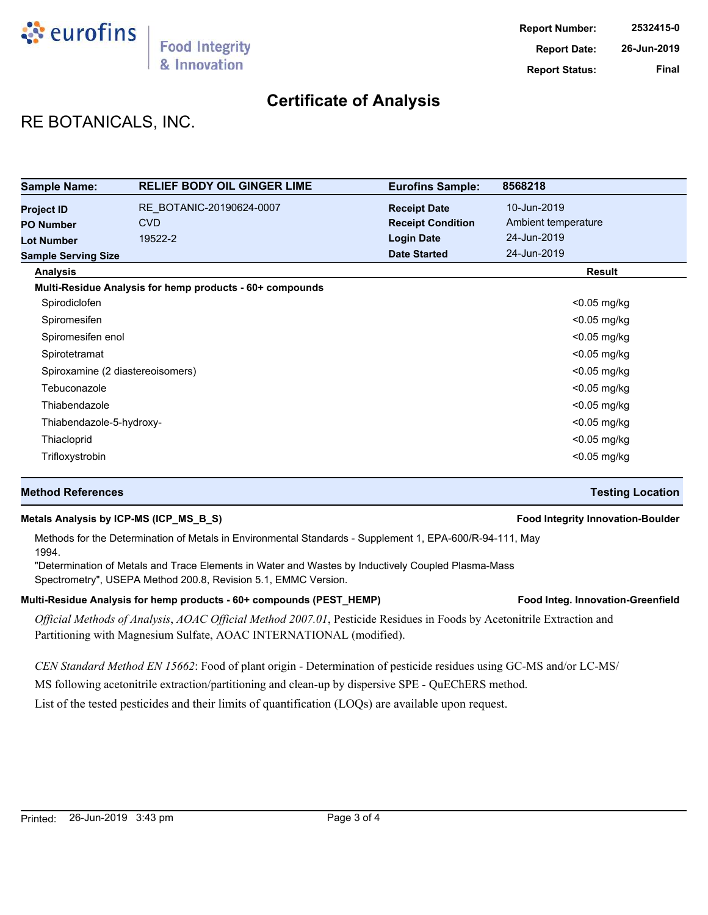

## RE BOTANICALS, INC.

| <b>Sample Name:</b>              | <b>RELIEF BODY OIL GINGER LIME</b>                       | <b>Eurofins Sample:</b>  | 8568218             |
|----------------------------------|----------------------------------------------------------|--------------------------|---------------------|
| <b>Project ID</b>                | RE BOTANIC-20190624-0007                                 | <b>Receipt Date</b>      | 10-Jun-2019         |
| <b>PO Number</b>                 | <b>CVD</b>                                               | <b>Receipt Condition</b> | Ambient temperature |
| <b>Lot Number</b>                | 19522-2                                                  | <b>Login Date</b>        | 24-Jun-2019         |
| <b>Sample Serving Size</b>       |                                                          | <b>Date Started</b>      | 24-Jun-2019         |
| <b>Analysis</b>                  |                                                          |                          | Result              |
|                                  | Multi-Residue Analysis for hemp products - 60+ compounds |                          |                     |
| Spirodiclofen                    |                                                          |                          | $<$ 0.05 mg/kg      |
| Spiromesifen                     |                                                          |                          | $<$ 0.05 mg/kg      |
| Spiromesifen enol                |                                                          |                          | $<$ 0.05 mg/kg      |
| Spirotetramat                    |                                                          |                          | $<$ 0.05 mg/kg      |
| Spiroxamine (2 diastereoisomers) |                                                          |                          | $<$ 0.05 mg/kg      |
| Tebuconazole                     |                                                          |                          | $<$ 0.05 mg/kg      |
| Thiabendazole                    |                                                          |                          | $<$ 0.05 mg/kg      |
| Thiabendazole-5-hydroxy-         |                                                          |                          | $<$ 0.05 mg/kg      |
| Thiacloprid                      |                                                          |                          | $<$ 0.05 mg/kg      |
| Trifloxystrobin                  |                                                          |                          | $<$ 0.05 mg/kg      |

### **Method References Testing Location**

### **Metals Analysis by ICP-MS (ICP\_MS\_B\_S) Food Integrity Innovation-Boulder**

Methods for the Determination of Metals in Environmental Standards - Supplement 1, EPA-600/R-94-111, May 1994.

"Determination of Metals and Trace Elements in Water and Wastes by Inductively Coupled Plasma-Mass Spectrometry", USEPA Method 200.8, Revision 5.1, EMMC Version.

### Multi-Residue Analysis for hemp products - 60+ compounds (PEST\_HEMP) **Food Integ. Innovation-Greenfield**

*Official Methods of Analysis*, *AOAC Official Method 2007.01*, Pesticide Residues in Foods by Acetonitrile Extraction and Partitioning with Magnesium Sulfate, AOAC INTERNATIONAL (modified).

*CEN Standard Method EN 15662*: Food of plant origin - Determination of pesticide residues using GC-MS and/or LC-MS/

MS following acetonitrile extraction/partitioning and clean-up by dispersive SPE - QuEChERS method.

List of the tested pesticides and their limits of quantification (LOQs) are available upon request.